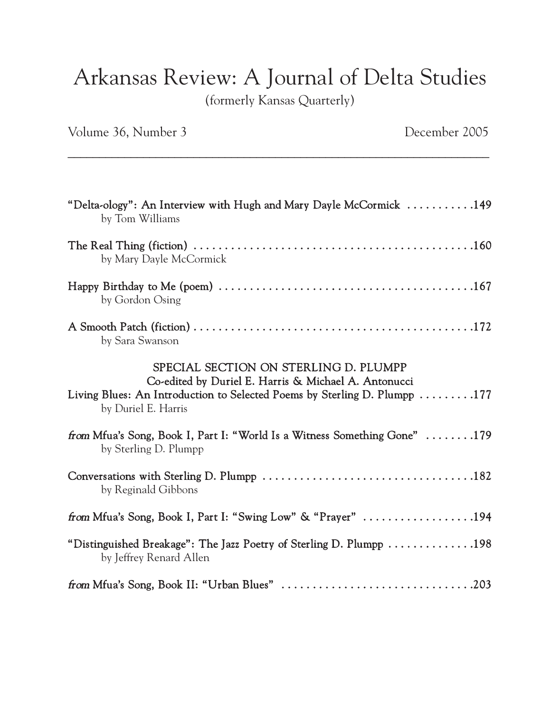## Arkansas Review: A Journal of Delta Studies

(formerly Kansas Quarterly)

\_\_\_\_\_\_\_\_\_\_\_\_\_\_\_\_\_\_\_\_\_\_\_\_\_\_\_\_\_\_\_\_\_\_\_\_\_\_\_\_\_\_\_\_\_\_\_\_\_\_\_\_\_\_\_\_\_\_\_\_\_\_\_\_\_\_\_

Volume 36, Number 3 December 2005

| "Delta-ology": An Interview with Hugh and Mary Dayle McCormick 149<br>by Tom Williams                                                                                                             |
|---------------------------------------------------------------------------------------------------------------------------------------------------------------------------------------------------|
| by Mary Dayle McCormick                                                                                                                                                                           |
| by Gordon Osing                                                                                                                                                                                   |
| by Sara Swanson                                                                                                                                                                                   |
| SPECIAL SECTION ON STERLING D. PLUMPP<br>Co-edited by Duriel E. Harris & Michael A. Antonucci<br>Living Blues: An Introduction to Selected Poems by Sterling D. Plumpp 177<br>by Duriel E. Harris |
| from Mfua's Song, Book I, Part I: "World Is a Witness Something Gone" 179<br>by Sterling D. Plumpp                                                                                                |
| by Reginald Gibbons                                                                                                                                                                               |
| from Mfua's Song, Book I, Part I: "Swing Low" & "Prayer" 194                                                                                                                                      |
| "Distinguished Breakage": The Jazz Poetry of Sterling D. Plumpp 198<br>by Jeffrey Renard Allen                                                                                                    |
|                                                                                                                                                                                                   |